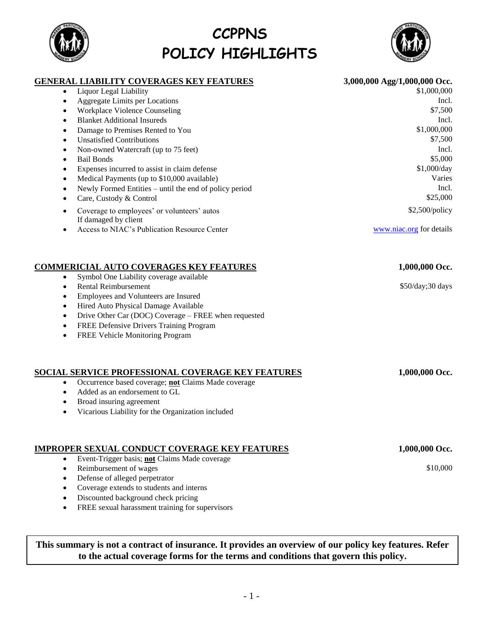## Blanket Additional Insureds Incl. Damage to Premises Rented to You  $$1,000,000$ Unsatisfied Contributions  $$7,500$

Aggregate Limits per Locations Incl. Workplace Violence Counseling  $$7,500$ 

**CCPPNS**

**POLICY HIGHLIGHTS**

- Non-owned Watercraft (up to 75 feet) Incl.
- **SEXELLET SEXELLET SEXELLET SEXELLET SEXELLET SEXELLET SEXELLET SEXELLET SEXELLET SEXELLET SEXELLET SEXELLET SE**
- Expenses incurred to assist in claim defense  $$1,000/day$
- Medical Payments (up to \$10,000 available) Varies
- Newly Formed Entities until the end of policy period Incl.
- Care, Custody & Control  $$25,000$
- Coverage to employees' or volunteers' autos If damaged by client
- Access to NIAC's Publication Resource Center [www.niac.org](http://www.niac.org/) for details

# **COMMERICIAL AUTO COVERAGES KEY FEATURES 1,000,000 Occ.**

- Symbol One Liability coverage available
- Rental Reimbursement **\$50/day**;30 days
- Employees and Volunteers are Insured
- Hired Auto Physical Damage Available
- Drive Other Car (DOC) Coverage FREE when requested
- FREE Defensive Drivers Training Program
- FREE Vehicle Monitoring Program

## **SOCIAL SERVICE PROFESSIONAL COVERAGE KEY FEATURES 1,000,000 Occ.**

- Occurrence based coverage; **not** Claims Made coverage
- Added as an endorsement to GL
- Broad insuring agreement
- Vicarious Liability for the Organization included

# **IMPROPER SEXUAL CONDUCT COVERAGE KEY FEATURES 1,000,000 Occ.**

- Event-Trigger basis; **not** Claims Made coverage
- Reimbursement of wages \$10,000
- Defense of alleged perpetrator
- Coverage extends to students and interns
- Discounted background check pricing
- FREE sexual harassment training for supervisors

# **This summary is not a contract of insurance. It provides an overview of our policy key features. Refer to the actual coverage forms for the terms and conditions that govern this policy.**





## **GENERAL LIABILITY COVERAGES KEY FEATURES 3,000,000 Agg/1,000,000 Occ.** Liquor Legal Liability  $$1,000,000$

\$2,500/policy